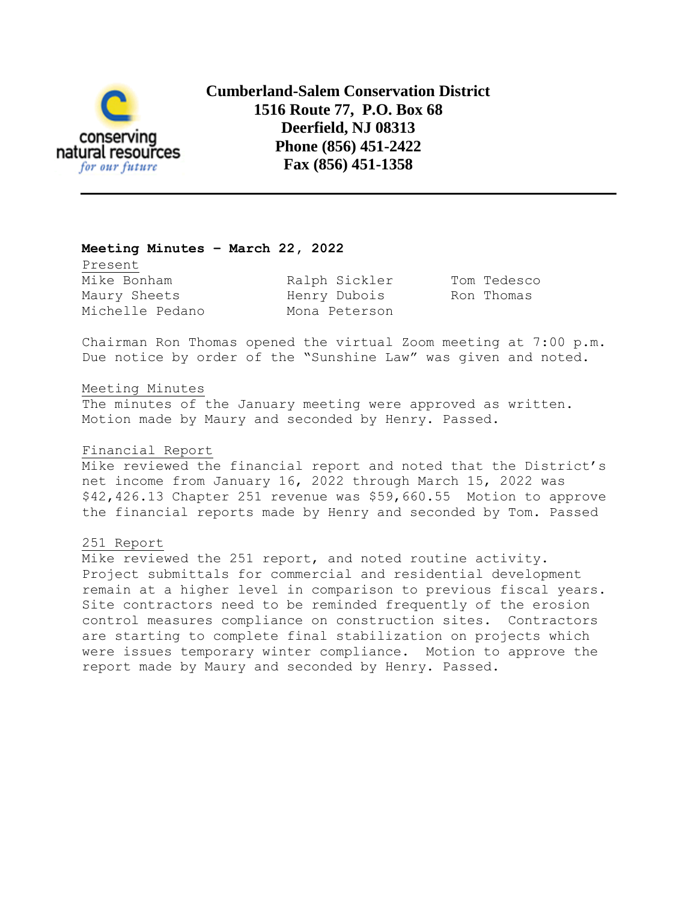

**Cumberland-Salem Conservation District 1516 Route 77, P.O. Box 68 Deerfield, NJ 08313 Phone (856) 451-2422 Fax (856) 451-1358**

## **Meeting Minutes – March 22, 2022**

Present Mike Bonham **Ralph Sickler** Tom Tedesco Maury Sheets **Henry Dubois** Ron Thomas Michelle Pedano Mona Peterson

Chairman Ron Thomas opened the virtual Zoom meeting at 7:00 p.m. Due notice by order of the "Sunshine Law" was given and noted.

### Meeting Minutes

The minutes of the January meeting were approved as written. Motion made by Maury and seconded by Henry. Passed.

### Financial Report

Mike reviewed the financial report and noted that the District's net income from January 16, 2022 through March 15, 2022 was \$42,426.13 Chapter 251 revenue was \$59,660.55 Motion to approve the financial reports made by Henry and seconded by Tom. Passed

### 251 Report

Mike reviewed the 251 report, and noted routine activity. Project submittals for commercial and residential development remain at a higher level in comparison to previous fiscal years. Site contractors need to be reminded frequently of the erosion control measures compliance on construction sites. Contractors are starting to complete final stabilization on projects which were issues temporary winter compliance. Motion to approve the report made by Maury and seconded by Henry. Passed.